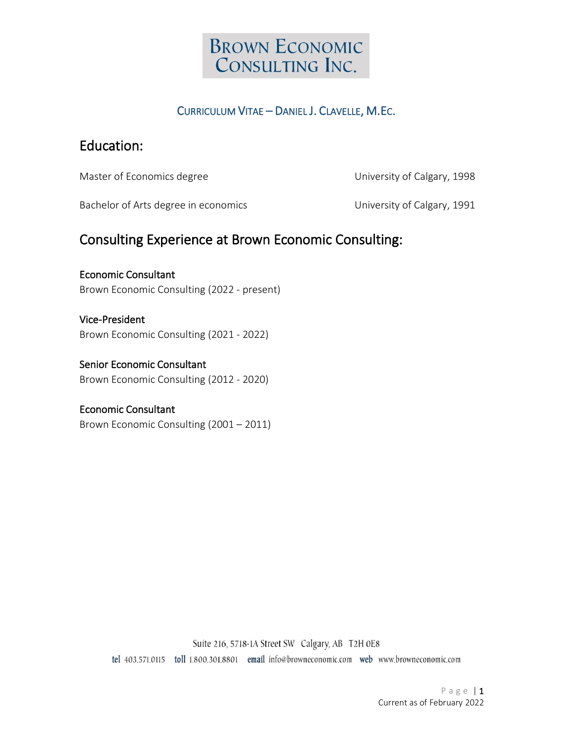

### CURRICULUM VITAE – DANIEL J. CLAVELLE, M.EC.

### Education:

Master of Economics degree National Assemblance University of Calgary, 1998

Bachelor of Arts degree in economics University of Calgary, 1991

### Consulting Experience at Brown Economic Consulting:

#### Economic Consultant

Brown Economic Consulting (2022 - present)

#### Vice-President

Brown Economic Consulting (2021 - 2022)

#### Senior Economic Consultant

Brown Economic Consulting (2012 - 2020)

#### Economic Consultant

Brown Economic Consulting (2001 – 2011)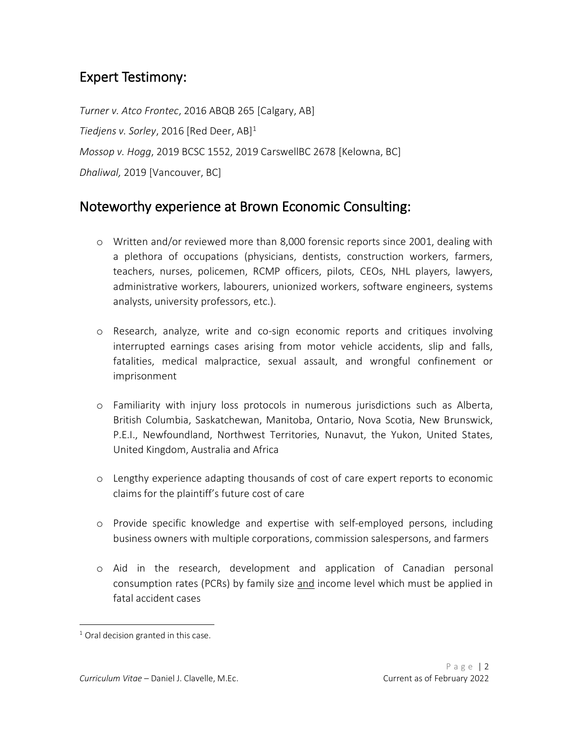# Expert Testimony:

*Turner v. Atco Frontec*, 2016 ABQB 265 [Calgary, AB] *Tiedjens v. Sorley*, 2016 [Red Deer, AB] 1 *Mossop v. Hogg*, 2019 BCSC 1552, 2019 CarswellBC 2678 [Kelowna, BC] *Dhaliwal,* 2019 [Vancouver, BC]

### Noteworthy experience at Brown Economic Consulting:

- o Written and/or reviewed more than 8,000 forensic reports since 2001, dealing with a plethora of occupations (physicians, dentists, construction workers, farmers, teachers, nurses, policemen, RCMP officers, pilots, CEOs, NHL players, lawyers, administrative workers, labourers, unionized workers, software engineers, systems analysts, university professors, etc.).
- o Research, analyze, write and co-sign economic reports and critiques involving interrupted earnings cases arising from motor vehicle accidents, slip and falls, fatalities, medical malpractice, sexual assault, and wrongful confinement or imprisonment
- o Familiarity with injury loss protocols in numerous jurisdictions such as Alberta, British Columbia, Saskatchewan, Manitoba, Ontario, Nova Scotia, New Brunswick, P.E.I., Newfoundland, Northwest Territories, Nunavut, the Yukon, United States, United Kingdom, Australia and Africa
- o Lengthy experience adapting thousands of cost of care expert reports to economic claims for the plaintiff's future cost of care
- o Provide specific knowledge and expertise with self-employed persons, including business owners with multiple corporations, commission salespersons, and farmers
- o Aid in the research, development and application of Canadian personal consumption rates (PCRs) by family size and income level which must be applied in fatal accident cases

 $1$  Oral decision granted in this case.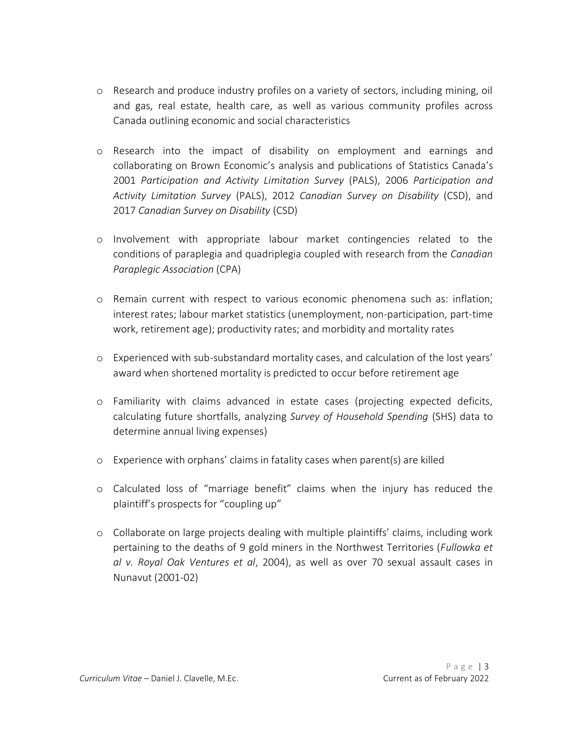- o Research and produce industry profiles on a variety of sectors, including mining, oil and gas, real estate, health care, as well as various community profiles across Canada outlining economic and social characteristics
- o Research into the impact of disability on employment and earnings and collaborating on Brown Economic's analysis and publications of Statistics Canada's 2001 *Participation and Activity Limitation Survey* (PALS), 2006 *Participation and Activity Limitation Survey* (PALS), 2012 *Canadian Survey on Disability* (CSD), and 2017 *Canadian Survey on Disability* (CSD)
- o Involvement with appropriate labour market contingencies related to the conditions of paraplegia and quadriplegia coupled with research from the *Canadian Paraplegic Association* (CPA)
- o Remain current with respect to various economic phenomena such as: inflation; interest rates; labour market statistics (unemployment, non-participation, part-time work, retirement age); productivity rates; and morbidity and mortality rates
- o Experienced with sub-substandard mortality cases, and calculation of the lost years' award when shortened mortality is predicted to occur before retirement age
- o Familiarity with claims advanced in estate cases (projecting expected deficits, calculating future shortfalls, analyzing *Survey of Household Spending* (SHS) data to determine annual living expenses)
- o Experience with orphans' claims in fatality cases when parent(s) are killed
- o Calculated loss of "marriage benefit" claims when the injury has reduced the plaintiff's prospects for "coupling up"
- o Collaborate on large projects dealing with multiple plaintiffs' claims, including work pertaining to the deaths of 9 gold miners in the Northwest Territories (*Fullowka et al v. Royal Oak Ventures et al*, 2004), as well as over 70 sexual assault cases in Nunavut (2001-02)